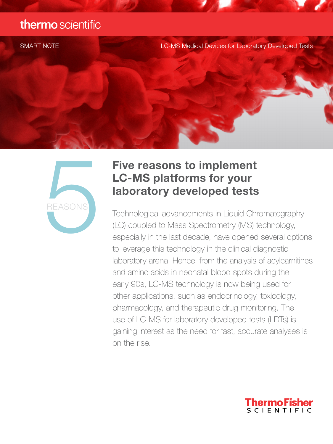### thermo scientific

SMART NOTE LC-MS Medical Devices for Laboratory Developed Tests



# Five reasons to implement LC-MS platforms for your

Technological advancements in Liquid Chromatography (LC) coupled to Mass Spectrometry (MS) technology, especially in the last decade, have opened several options to leverage this technology in the clinical diagnostic laboratory arena. Hence, from the analysis of acylcarnitines and amino acids in neonatal blood spots during the early 90s, LC-MS technology is now being used for other applications, such as endocrinology, toxicology, pharmacology, and therapeutic drug monitoring. The use of LC-MS for laboratory developed tests (LDTs) is gaining interest as the need for fast, accurate analyses is on the rise. **Examplement LC-MS platforms for your laboratory developed tests**<br>**REASONS**<br>**Technological advancements in Liquid Chr**<br>(LC) coupled to Mass Spectrometry (MS) to especially in the last decade, have opened to leverage this t

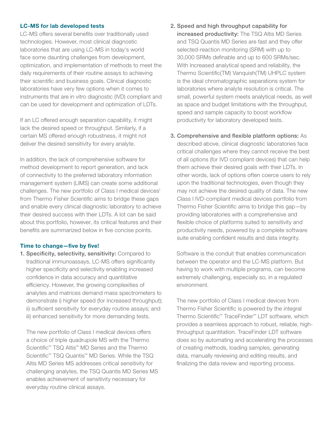### LC-MS for lab developed tests

LC-MS offers several benefits over traditionally used technologies. However, most clinical diagnostic laboratories that are using LC-MS in today's world face some daunting challenges from development, optimization, and implementation of methods to meet the daily requirements of their routine assays to achieving their scientific and business goals. Clinical diagnostic laboratories have very few options when it comes to instruments that are in vitro diagnostic (IVD) compliant and can be used for development and optimization of LDTs.

If an LC offered enough separation capability, it might lack the desired speed or throughput. Similarly, if a certain MS offered enough robustness, it might not deliver the desired sensitivity for every analyte.

In addition, the lack of comprehensive software for method development to report generation, and lack of connectivity to the preferred laboratory information management system (LIMS) can create some additional challenges. The new portfolio of Class I medical devices<sup>1</sup> from Thermo Fisher Scientific aims to bridge these gaps and enable every clinical diagnostic laboratory to achieve their desired success with their LDTs. A lot can be said about this portfolio, however, its critical features and their benefits are summarized below in five concise points.

### Time to change—five by five!

1. Specificity, selectivity, sensitivity: Compared to traditional immunoassays, LC-MS offers significantly higher specificity and selectivity enabling increased confidence in data accuracy and quantitative efficiency. However, the growing complexities of analytes and matrices demand mass spectrometers to demonstrate i) higher speed (for increased throughput); ii) sufficient sensitivity for everyday routine assays; and iii) enhanced sensitivity for more demanding tests.

 The new portfolio of Class I medical devices offers a choice of triple quadrupole MS with the Thermo Scientific™ TSQ Altis™ MD Series and the Thermo Scientific<sup>™</sup> TSQ Quantis<sup>™</sup> MD Series. While the TSQ Altis MD Series MS addresses critical sensitivity for challenging analytes, the TSQ Quantis MD Series MS enables achievement of sensitivity necessary for everyday routine clinical assays.

- 2. Speed and high throughput capability for increased productivity: The TSQ Altis MD Series and TSQ Quantis MD Series are fast and they offer selected-reaction monitoring (SRM) with up to 30,000 SRMs definable and up to 600 SRMs/sec. With Increased analytical speed and reliability, the Thermo Scientific(TM) Vanquish(TM) UHPLC system is the ideal chromatographic separations system for laboratories where analyte resolution is critical. The small, powerful system meets analytical needs, as well as space and budget limitations with the throughput, speed and sample capacity to boost workflow productivity for laboratory developed tests.
- 3. Comprehensive and flexible platform options: As described above, clinical diagnostic laboratories face critical challenges where they cannot receive the best of all options (for IVD compliant devices) that can help them achieve their desired goals with their LDTs. In other words, lack of options often coerce users to rely upon the traditional technologies, even though they may not achieve the desired quality of data. The new Class I IVD-compliant medical devices portfolio from Thermo Fisher Scientific aims to bridge this gap—by providing laboratories with a comprehensive and flexible choice of platforms suited to sensitivity and productivity needs, powered by a complete software suite enabling confident results and data integrity.

 Software is the conduit that enables communication between the operator and the LC-MS platform. But having to work with multiple programs, can become extremely challenging, especially so, in a regulated environment.

 The new portfolio of Class I medical devices from Thermo Fisher Scientific is powered by the integral Thermo Scientific™ TraceFinder™ LDT software, which provides a seamless approach to robust, reliable, highthroughput quantitation. TraceFinder LDT software does so by automating and accelerating the processes of creating methods, loading samples, generating data, manually reviewing and editing results, and finalizing the data review and reporting process.